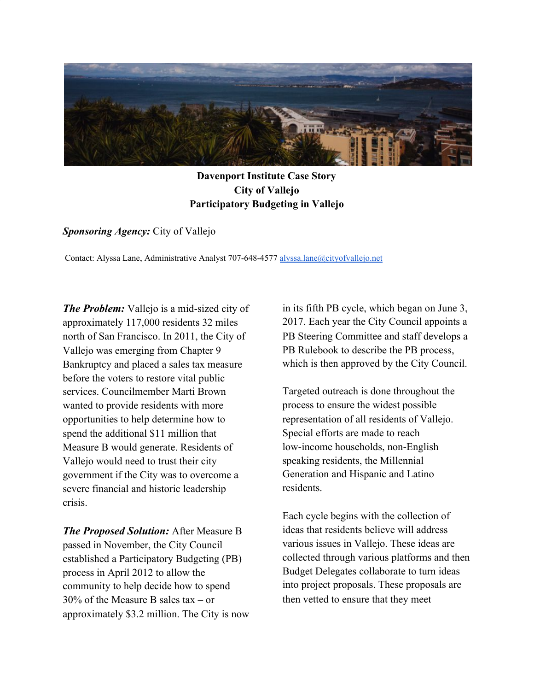

## **Davenport Institute Case Story City of Vallejo Participatory Budgeting in Vallejo**

## *Sponsoring Agency:* City of Vallejo

Contact: Alyssa Lane, Administrative Analyst 707-648-4577 [alyssa.lane@cityofvallejo.net](mailto:alyssa.lane@cityofvallejo.net)

*The Problem:* Vallejo is a mid-sized city of approximately 117,000 residents 32 miles north of San Francisco. In 2011, the City of Vallejo was emerging from Chapter 9 Bankruptcy and placed a sales tax measure before the voters to restore vital public services. Councilmember Marti Brown wanted to provide residents with more opportunities to help determine how to spend the additional \$11 million that Measure B would generate. Residents of Vallejo would need to trust their city government if the City was to overcome a severe financial and historic leadership crisis.

*The Proposed Solution:* After Measure B passed in November, the City Council established a Participatory Budgeting (PB) process in April 2012 to allow the community to help decide how to spend 30% of the Measure B sales tax – or approximately \$3.2 million. The City is now in its fifth PB cycle, which began on June 3, 2017. Each year the City Council appoints a PB Steering Committee and staff develops a PB Rulebook to describe the PB process, which is then approved by the City Council.

Targeted outreach is done throughout the process to ensure the widest possible representation of all residents of Vallejo. Special efforts are made to reach low-income households, non-English speaking residents, the Millennial Generation and Hispanic and Latino residents.

Each cycle begins with the collection of ideas that residents believe will address various issues in Vallejo. These ideas are collected through various platforms and then Budget Delegates collaborate to turn ideas into project proposals. These proposals are then vetted to ensure that they meet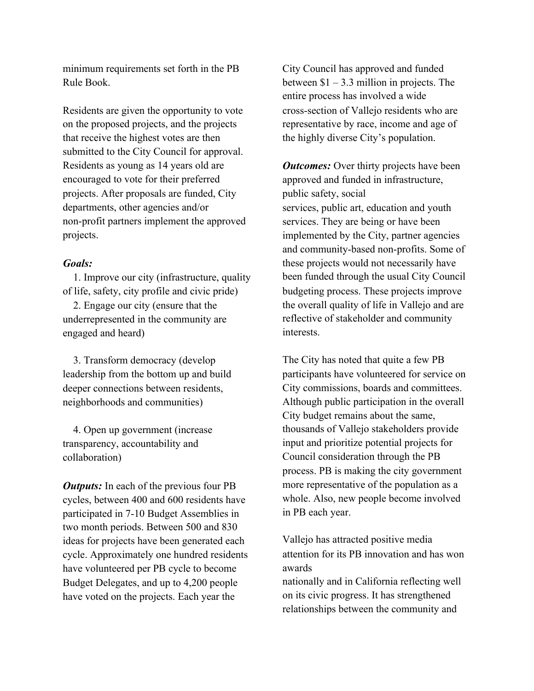minimum requirements set forth in the PB Rule Book.

Residents are given the opportunity to vote on the proposed projects, and the projects that receive the highest votes are then submitted to the City Council for approval. Residents as young as 14 years old are encouraged to vote for their preferred projects. After proposals are funded, City departments, other agencies and/or non-profit partners implement the approved projects.

## *Goals:*

 1. Improve our city (infrastructure, quality of life, safety, city profile and civic pride)

 2. Engage our city (ensure that the underrepresented in the community are engaged and heard)

 3. Transform democracy (develop leadership from the bottom up and build deeper connections between residents, neighborhoods and communities)

 4. Open up government (increase transparency, accountability and collaboration)

*Outputs:* In each of the previous four PB cycles, between 400 and 600 residents have participated in 7-10 Budget Assemblies in two month periods. Between 500 and 830 ideas for projects have been generated each cycle. Approximately one hundred residents have volunteered per PB cycle to become Budget Delegates, and up to 4,200 people have voted on the projects. Each year the

City Council has approved and funded between  $$1 - 3.3$  million in projects. The entire process has involved a wide cross-section of Vallejo residents who are representative by race, income and age of the highly diverse City's population.

*Outcomes:* Over thirty projects have been approved and funded in infrastructure, public safety, social services, public art, education and youth services. They are being or have been implemented by the City, partner agencies and community-based non-profits. Some of these projects would not necessarily have been funded through the usual City Council budgeting process. These projects improve the overall quality of life in Vallejo and are reflective of stakeholder and community interests.

The City has noted that quite a few PB participants have volunteered for service on City commissions, boards and committees. Although public participation in the overall City budget remains about the same, thousands of Vallejo stakeholders provide input and prioritize potential projects for Council consideration through the PB process. PB is making the city government more representative of the population as a whole. Also, new people become involved in PB each year.

Vallejo has attracted positive media attention for its PB innovation and has won awards

nationally and in California reflecting well on its civic progress. It has strengthened relationships between the community and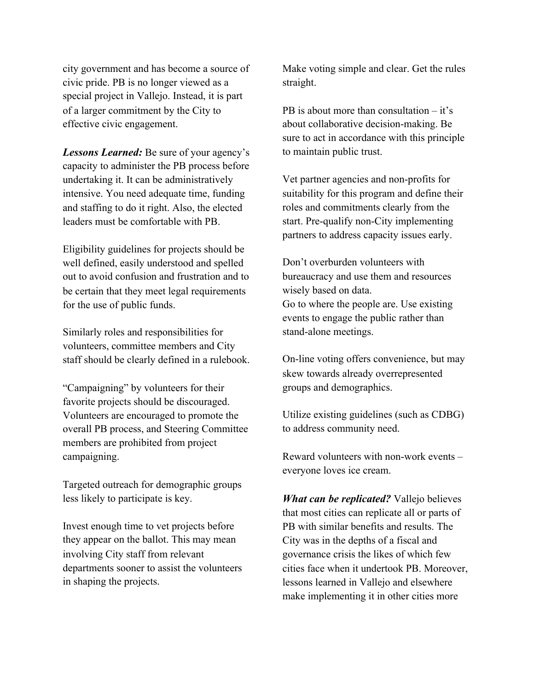city government and has become a source of civic pride. PB is no longer viewed as a special project in Vallejo. Instead, it is part of a larger commitment by the City to effective civic engagement.

*Lessons Learned:* Be sure of your agency's capacity to administer the PB process before undertaking it. It can be administratively intensive. You need adequate time, funding and staffing to do it right. Also, the elected leaders must be comfortable with PB.

Eligibility guidelines for projects should be well defined, easily understood and spelled out to avoid confusion and frustration and to be certain that they meet legal requirements for the use of public funds.

Similarly roles and responsibilities for volunteers, committee members and City staff should be clearly defined in a rulebook.

"Campaigning" by volunteers for their favorite projects should be discouraged. Volunteers are encouraged to promote the overall PB process, and Steering Committee members are prohibited from project campaigning.

Targeted outreach for demographic groups less likely to participate is key.

Invest enough time to vet projects before they appear on the ballot. This may mean involving City staff from relevant departments sooner to assist the volunteers in shaping the projects.

Make voting simple and clear. Get the rules straight.

PB is about more than consultation – it's about collaborative decision-making. Be sure to act in accordance with this principle to maintain public trust.

Vet partner agencies and non-profits for suitability for this program and define their roles and commitments clearly from the start. Pre-qualify non-City implementing partners to address capacity issues early.

Don't overburden volunteers with bureaucracy and use them and resources wisely based on data. Go to where the people are. Use existing events to engage the public rather than stand-alone meetings.

On-line voting offers convenience, but may skew towards already overrepresented groups and demographics.

Utilize existing guidelines (such as CDBG) to address community need.

Reward volunteers with non-work events – everyone loves ice cream.

*What can be replicated?* Vallejo believes that most cities can replicate all or parts of PB with similar benefits and results. The City was in the depths of a fiscal and governance crisis the likes of which few cities face when it undertook PB. Moreover, lessons learned in Vallejo and elsewhere make implementing it in other cities more